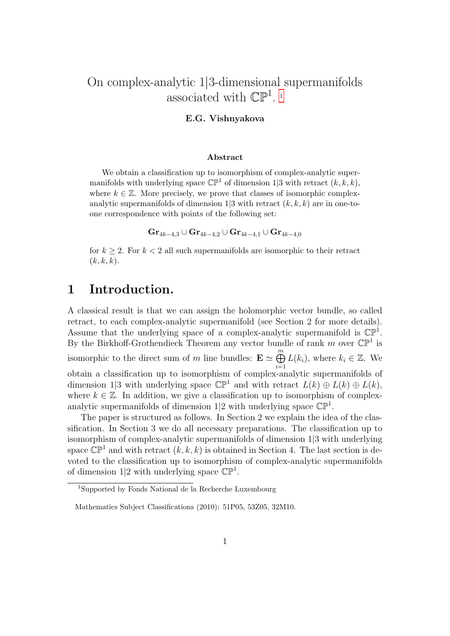### On complex-analytic 1|3-dimensional supermanifolds associated with  $\mathbb{CP}^1$  $\mathbb{CP}^1$ .

#### E.G. Vishnyakova

#### Abstract

We obtain a classification up to isomorphism of complex-analytic supermanifolds with underlying space  $\mathbb{CP}^1$  of dimension 1|3 with retract  $(k, k, k)$ , where  $k \in \mathbb{Z}$ . More precisely, we prove that classes of isomorphic complexanalytic supermanifolds of dimension  $1/3$  with retract  $(k, k, k)$  are in one-toone correspondence with points of the following set:

 $\text{Gr}_{4k-4,3} \cup \text{Gr}_{4k-4,2} \cup \text{Gr}_{4k-4,1} \cup \text{Gr}_{4k-4,0}$ 

for  $k \geq 2$ . For  $k < 2$  all such supermanifolds are isomorphic to their retract  $(k, k, k).$ 

#### 1 Introduction.

A classical result is that we can assign the holomorphic vector bundle, so called retract, to each complex-analytic supermanifold (see Section 2 for more details). Assume that the underlying space of a complex-analytic supermanifold is  $\mathbb{CP}^1$ . By the Birkhoff-Grothendieck Theorem any vector bundle of rank  $m$  over  $\mathbb{CP}^1$  is isomorphic to the direct sum of m line bundles:  $\mathbf{E} \simeq \bigoplus^{m}$  $i=1$  $L(k_i)$ , where  $k_i \in \mathbb{Z}$ . We obtain a classification up to isomorphism of complex-analytic supermanifolds of dimension 1|3 with underlying space  $\mathbb{CP}^1$  and with retract  $L(k) \oplus L(k) \oplus L(k)$ , where  $k \in \mathbb{Z}$ . In addition, we give a classification up to isomorphism of complexanalytic supermanifolds of dimension 1|2 with underlying space  $\mathbb{CP}^1$ .

The paper is structured as follows. In Section 2 we explain the idea of the classification. In Section 3 we do all necessary preparations. The classification up to isomorphism of complex-analytic supermanifolds of dimension 1|3 with underlying space  $\mathbb{CP}^1$  and with retract  $(k, k, k)$  is obtained in Section 4. The last section is devoted to the classification up to isomorphism of complex-analytic supermanifolds of dimension 1|2 with underlying space  $\mathbb{CP}^1$ .

<span id="page-0-0"></span><sup>1</sup>Supported by Fonds National de la Recherche Luxembourg

Mathematics Subject Classifications (2010): 51P05, 53Z05, 32M10.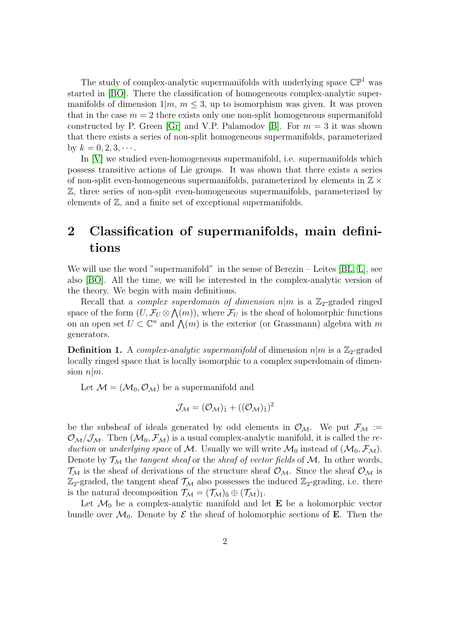The study of complex-analytic supermanifolds with underlying space  $\mathbb{CP}^1$  was started in [\[BO\]](#page-9-0). There the classification of homogeneous complex-analytic supermanifolds of dimension  $1/m$ ,  $m \leq 3$ , up to isomorphism was given. It was proven that in the case  $m = 2$  there exists only one non-split homogeneous supermanifold constructed by P. Green [\[Gr\]](#page-10-0) and V.P. Palamodov [\[B\]](#page-9-1). For  $m = 3$  it was shown that there exists a series of non-split homogeneous supermanifolds, parameterized by  $k = 0, 2, 3, \cdots$ .

In [\[V\]](#page-10-1) we studied even-homogeneous supermanifold, i.e. supermanifolds which possess transitive actions of Lie groups. It was shown that there exists a series of non-split even-homogeneous supermanifolds, parameterized by elements in  $\mathbb{Z} \times$ Z, three series of non-split even-homogeneous supermanifolds, parameterized by elements of Z, and a finite set of exceptional supermanifolds.

### 2 Classification of supermanifolds, main definitions

We will use the word "supermanifold" in the sense of Berezin – Leites [\[BL,](#page-9-2) [L\]](#page-10-2), see also [\[BO\]](#page-9-0). All the time, we will be interested in the complex-analytic version of the theory. We begin with main definitions.

Recall that a *complex superdomain of dimension*  $n|m$  is a  $\mathbb{Z}_2$ -graded ringed space of the form  $(U, \mathcal{F}_U \otimes \bigwedge(m))$ , where  $\mathcal{F}_U$  is the sheaf of holomorphic functions on an open set  $U \subset \mathbb{C}^n$  and  $\bigwedge(m)$  is the exterior (or Grassmann) algebra with m generators.

**Definition 1.** A *complex-analytic supermanifold* of dimension  $n|m$  is a  $\mathbb{Z}_2$ -graded locally ringed space that is locally isomorphic to a complex superdomain of dimension  $n|m$ .

Let  $\mathcal{M} = (\mathcal{M}_0, \mathcal{O}_\mathcal{M})$  be a supermanifold and

$$
\mathcal{J}_\mathcal{M} = (\mathcal{O}_\mathcal{M})_{\bar{1}} + ((\mathcal{O}_\mathcal{M})_{\bar{1}})^2
$$

be the subsheaf of ideals generated by odd elements in  $\mathcal{O}_M$ . We put  $\mathcal{F}_M :=$  $\mathcal{O}_{\mathcal{M}}/\mathcal{J}_{\mathcal{M}}$ . Then  $(\mathcal{M}_0, \mathcal{F}_{\mathcal{M}})$  is a usual complex-analytic manifold, it is called the reduction or underlying space of M. Usually we will write  $\mathcal{M}_0$  instead of  $(\mathcal{M}_0, \mathcal{F}_\mathcal{M})$ . Denote by  $\mathcal{T}_{\mathcal{M}}$  the *tangent sheaf* or the *sheaf of vector fields* of  $\mathcal{M}$ . In other words,  $\mathcal{T}_{\mathcal{M}}$  is the sheaf of derivations of the structure sheaf  $\mathcal{O}_{\mathcal{M}}$ . Since the sheaf  $\mathcal{O}_{\mathcal{M}}$  is  $\mathbb{Z}_2$ -graded, the tangent sheaf  $\mathcal{T}_M$  also possesses the induced  $\mathbb{Z}_2$ -grading, i.e. there is the natural decomposition  $\mathcal{T}_{\mathcal{M}} = (\mathcal{T}_{\mathcal{M}})_{\bar{0}} \oplus (\mathcal{T}_{\mathcal{M}})_{\bar{1}}$ .

Let  $\mathcal{M}_0$  be a complex-analytic manifold and let **E** be a holomorphic vector bundle over  $\mathcal{M}_0$ . Denote by  $\mathcal E$  the sheaf of holomorphic sections of **E**. Then the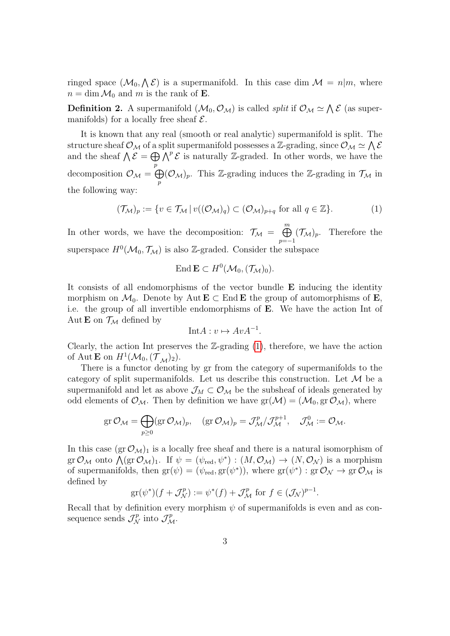ringed space  $(\mathcal{M}_0, \Lambda \mathcal{E})$  is a supermanifold. In this case dim  $\mathcal{M} = n|m$ , where  $n = \dim \mathcal{M}_0$  and m is the rank of **E**.

**Definition 2.** A supermanifold  $(\mathcal{M}_0, \mathcal{O}_M)$  is called *split* if  $\mathcal{O}_M \simeq \bigwedge \mathcal{E}$  (as supermanifolds) for a locally free sheaf  $\mathcal{E}$ .

It is known that any real (smooth or real analytic) supermanifold is split. The structure sheaf  $\mathcal{O}_M$  of a split supermanifold possesses a Z-grading, since  $\mathcal{O}_M \simeq \bigwedge \mathcal{E}$ and the sheaf  $\bigwedge \mathcal{E} = \bigoplus \bigwedge^p \mathcal{E}$  is naturally Z-graded. In other words, we have the p decomposition  $\mathcal{O}_\mathcal{M} = \bigoplus$ p  $(\mathcal{O}_\mathcal{M})_p$ . This Z-grading induces the Z-grading in  $\mathcal{T}_\mathcal{M}$  in the following way:

<span id="page-2-0"></span>
$$
(\mathcal{T}_{\mathcal{M}})_p := \{ v \in \mathcal{T}_{\mathcal{M}} \, | \, v((\mathcal{O}_{\mathcal{M}})_q) \subset (\mathcal{O}_{\mathcal{M}})_{p+q} \text{ for all } q \in \mathbb{Z} \}. \tag{1}
$$

In other words, we have the decomposition:  $\mathcal{T}_M = \bigoplus^m$  $p=-1$  $(\mathcal{T}_{\mathcal{M}})_p$ . Therefore the superspace  $H^0(\mathcal{M}_0, \mathcal{T}_\mathcal{M})$  is also Z-graded. Consider the subspace

$$
\text{End }\mathbf{E}\subset H^0(\mathcal{M}_0,(\mathcal{T}_\mathcal{M})_0).
$$

It consists of all endomorphisms of the vector bundle E inducing the identity morphism on  $\mathcal{M}_0$ . Denote by Aut  $\mathbf{E} \subset \text{End }\mathbf{E}$  the group of automorphisms of  $\mathbf{E}$ , i.e. the group of all invertible endomorphisms of E. We have the action Int of Aut **E** on  $\mathcal{T}_{\mathcal{M}}$  defined by

$$
Int A: v \mapsto Av A^{-1}.
$$

Clearly, the action Int preserves the  $\mathbb{Z}$ -grading  $(1)$ , therefore, we have the action of Aut **E** on  $H^1(\mathcal{M}_0, (\mathcal{T}_\mathcal{M})_2)$ .

There is a functor denoting by gr from the category of supermanifolds to the category of split supermanifolds. Let us describe this construction. Let  $\mathcal M$  be a supermanifold and let as above  $\mathcal{J}_M \subset \mathcal{O}_\mathcal{M}$  be the subsheaf of ideals generated by odd elements of  $\mathcal{O}_M$ . Then by definition we have  $gr(\mathcal{M}) = (\mathcal{M}_0, gr \mathcal{O}_M)$ , where

$$
\text{gr}\,\mathcal{O}_{\mathcal{M}}=\bigoplus_{p\geq 0}(\text{gr}\,\mathcal{O}_{\mathcal{M}})_p,\quad (\text{gr}\,\mathcal{O}_{\mathcal{M}})_p=\mathcal{J}^p_{\mathcal{M}}/\mathcal{J}^{p+1}_{\mathcal{M}},\quad \mathcal{J}^0_{\mathcal{M}}:=\mathcal{O}_{\mathcal{M}}.
$$

In this case  $(\text{gr }\mathcal{O}_\mathcal{M})_1$  is a locally free sheaf and there is a natural isomorphism of gr  $\mathcal{O}_\mathcal{M}$  onto  $\bigwedge (\text{gr } \mathcal{O}_\mathcal{M})_1$ . If  $\psi = (\psi_{\text{red}}, \psi^*) : (M, \mathcal{O}_\mathcal{M}) \to (N, \mathcal{O}_\mathcal{N})$  is a morphism of supermanifolds, then  $gr(\psi) = (\psi_{red}, gr(\psi^*))$ , where  $gr(\psi^*) : gr \mathcal{O}_\mathcal{N} \to gr \mathcal{O}_\mathcal{M}$  is defined by

$$
\operatorname{gr}(\psi^*)(f+\mathcal{J}_\mathcal{N}^p):=\psi^*(f)+\mathcal{J}_\mathcal{M}^p \text{ for } f\in(\mathcal{J}_\mathcal{N})^{p-1}.
$$

Recall that by definition every morphism  $\psi$  of supermanifolds is even and as consequence sends  $\mathcal{J}_{\mathcal{N}}^p$  into  $\mathcal{J}_{\mathcal{M}}^p$ .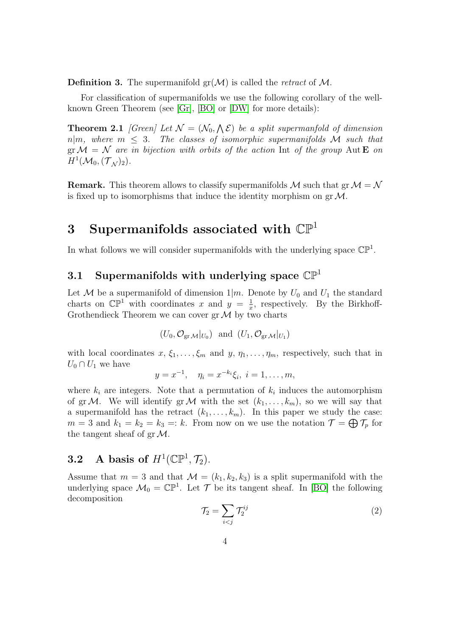**Definition 3.** The supermanifold  $gr(\mathcal{M})$  is called the retract of M.

For classification of supermanifolds we use the following corollary of the wellknown Green Theorem (see [\[Gr\]](#page-10-0), [\[BO\]](#page-9-0) or [\[DW\]](#page-10-3) for more details):

<span id="page-3-0"></span>**Theorem 2.1** [Green] Let  $\mathcal{N} = (\mathcal{N}_0, \mathcal{N})$  be a split supermanfold of dimension  $n|m,$  where  $m \leq 3$ . The classes of isomorphic supermanifolds M such that  $\operatorname{gr} \mathcal{M} = \mathcal{N}$  are in bijection with orbits of the action Int of the group Aut **E** on  $H^1(\mathcal{M}_0,(\mathcal{T}_\mathcal{N})_2).$ 

**Remark.** This theorem allows to classify supermanifolds M such that  $\text{gr } M = \mathcal{N}$ is fixed up to isomorphisms that induce the identity morphism on  $gr\mathcal{M}$ .

### 3 Supermanifolds associated with  $\mathbb{CP}^1$

In what follows we will consider supermanifolds with the underlying space  $\mathbb{CP}^1$ .

## 3.1 Supermanifolds with underlying space  $\mathbb{CP}^1$

Let M be a supermanifold of dimension  $1/m$ . Denote by  $U_0$  and  $U_1$  the standard charts on  $\mathbb{CP}^1$  with coordinates x and  $y = \frac{1}{x}$  $\frac{1}{x}$ , respectively. By the Birkhoff-Grothendieck Theorem we can cover  $gr\mathcal{M}$  by two charts

$$
(U_0, \mathcal{O}_{gr} \mathcal{M}|_{U_0})
$$
 and  $(U_1, \mathcal{O}_{gr} \mathcal{M}|_{U_1})$ 

with local coordinates  $x, \xi_1, \ldots, \xi_m$  and  $y, \eta_1, \ldots, \eta_m$ , respectively, such that in  $U_0 \cap U_1$  we have

$$
y = x^{-1}
$$
,  $\eta_i = x^{-k_i} \xi_i, i = 1, ..., m$ ,

where  $k_i$  are integers. Note that a permutation of  $k_i$  induces the automorphism of grM. We will identify grM with the set  $(k_1, \ldots, k_m)$ , so we will say that a supermanifold has the retract  $(k_1, \ldots, k_m)$ . In this paper we study the case:  $m=3$  and  $k_1 = k_2 = k_3 = k$ . From now on we use the notation  $\mathcal{T} = \bigoplus \mathcal{T}_p$  for the tangent sheaf of  $gr\mathcal{M}$ .

### **3.2** A basis of  $H^1(\mathbb{CP}^1, \mathcal{T}_2)$ .

Assume that  $m = 3$  and that  $\mathcal{M} = (k_1, k_2, k_3)$  is a split supermanifold with the underlying space  $\mathcal{M}_0 = \mathbb{CP}^1$ . Let  $\mathcal T$  be its tangent sheaf. In [\[BO\]](#page-9-0) the following decomposition

$$
\mathcal{T}_2 = \sum_{i < j} \mathcal{T}_2^{ij} \tag{2}
$$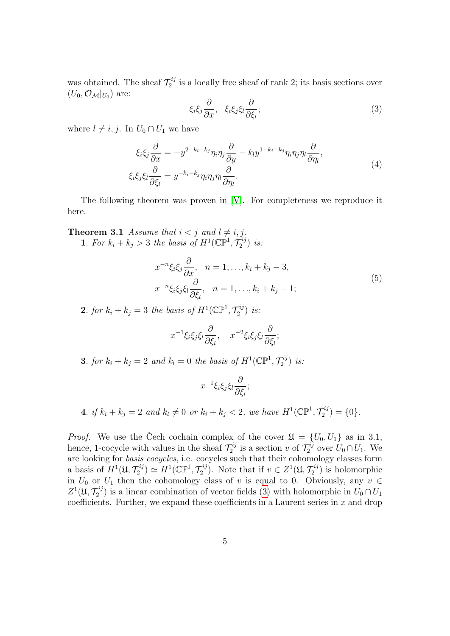was obtained. The sheaf  $\mathcal{T}_2^{ij}$  $\zeta_2^{ij}$  is a locally free sheaf of rank 2; its basis sections over  $(U_0, \mathcal{O}_\mathcal{M}|_{U_0})$  are:

<span id="page-4-0"></span>
$$
\xi_i \xi_j \frac{\partial}{\partial x}, \quad \xi_i \xi_j \xi_l \frac{\partial}{\partial \xi_l};\tag{3}
$$

where  $l \neq i, j$ . In  $U_0 \cap U_1$  we have

<span id="page-4-1"></span>
$$
\xi_i \xi_j \frac{\partial}{\partial x} = -y^{2-k_i - k_j} \eta_i \eta_j \frac{\partial}{\partial y} - k_l y^{1-k_i - k_j} \eta_i \eta_j \eta_l \frac{\partial}{\partial \eta_l},
$$
  

$$
\xi_i \xi_j \xi_l \frac{\partial}{\partial \xi_l} = y^{-k_i - k_j} \eta_i \eta_j \eta_l \frac{\partial}{\partial \eta_l}.
$$
 (4)

The following theorem was proven in [\[V\]](#page-10-1). For completeness we reproduce it here.

<span id="page-4-2"></span>**Theorem 3.1** Assume that  $i < j$  and  $l \neq i, j$ .

**1**. For  $k_i + k_j > 3$  the basis of  $H^1(\mathbb{CP}^1, \mathcal{T}_2^{ij})$  $2^{ij}$ ) is:

$$
x^{-n}\xi_i\xi_j\frac{\partial}{\partial x}, \quad n = 1, \dots, k_i + k_j - 3,
$$
  

$$
x^{-n}\xi_i\xi_j\xi_l\frac{\partial}{\partial \xi_l}, \quad n = 1, \dots, k_i + k_j - 1;
$$
 (5)

**2**. for  $k_i + k_j = 3$  the basis of  $H^1(\mathbb{CP}^1, \mathcal{T}_2^{ij})$  $2^{ij}$ ) is:

$$
x^{-1}\xi_i\xi_j\xi_l\frac{\partial}{\partial\xi_l}, \quad x^{-2}\xi_i\xi_j\xi_l\frac{\partial}{\partial\xi_l};
$$

**3.** for  $k_i + k_j = 2$  and  $k_l = 0$  the basis of  $H^1(\mathbb{CP}^1, \mathcal{T}_2^{ij})$  $\binom{-ij}{2}$  is:

$$
x^{-1}\xi_i\xi_j\xi_l\frac{\partial}{\partial\xi_l};
$$

**4.** if  $k_i + k_j = 2$  and  $k_l \neq 0$  or  $k_i + k_j < 2$ , we have  $H^1(\mathbb{CP}^1, \mathcal{T}_2^{ij})$  $2^{ij}$  = {0}.

*Proof.* We use the Čech cochain complex of the cover  $\mathfrak{U} = \{U_0, U_1\}$  as in 3.1, hence, 1-cocycle with values in the sheaf  $\mathcal{T}_2^{ij}$  $\tau_2^{ij}$  is a section v of  $\mathcal{T}_2^{ij}$  $Z_2^{ij}$  over  $U_0 \cap U_1$ . We are looking for basis cocycles, i.e. cocycles such that their cohomology classes form a basis of  $H^1(\mathfrak{U}, \mathcal{T}_2^{ij})$  $\mathcal{L}_2^{ij}) \simeq H^1(\mathbb{CP}^1, \mathcal{T}_2^{ij})$  $\mathcal{I}_2^{ij}$ ). Note that if  $v \in Z^1(\mathfrak{U}, \mathcal{T}_2^{ij})$  $\binom{-ij}{2}$  is holomorphic in  $U_0$  or  $U_1$  then the cohomology class of v is equal to 0. Obviously, any  $v \in$  $Z^1({\mathfrak U},\mathcal{T}_2^{ij}$  $\mathcal{Z}_2^{(1)}$  is a linear combination of vector fields [\(3\)](#page-4-0) with holomorphic in  $U_0 \cap U_1$ coefficients. Further, we expand these coefficients in a Laurent series in  $x$  and drop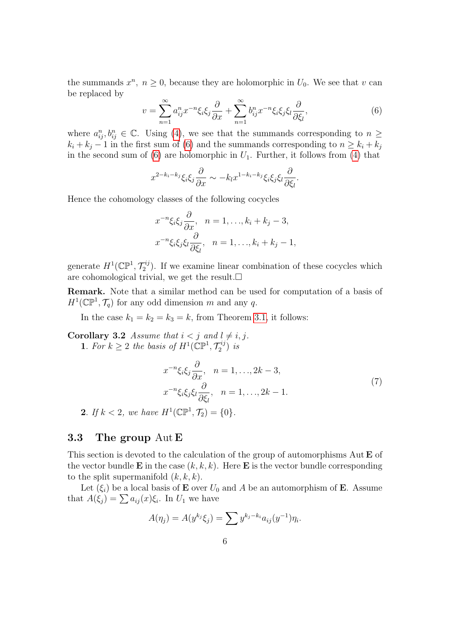the summands  $x^n$ ,  $n \geq 0$ , because they are holomorphic in  $U_0$ . We see that v can be replaced by

<span id="page-5-0"></span>
$$
v = \sum_{n=1}^{\infty} a_{ij}^n x^{-n} \xi_i \xi_j \frac{\partial}{\partial x} + \sum_{n=1}^{\infty} b_{ij}^n x^{-n} \xi_i \xi_j \xi_l \frac{\partial}{\partial \xi_l},
$$
(6)

where  $a_{ij}^n, b_{ij}^n \in \mathbb{C}$ . Using [\(4\)](#page-4-1), we see that the summands corresponding to  $n \geq$  $k_i + k_j - 1$  in the first sum of [\(6\)](#page-5-0) and the summands corresponding to  $n \geq k_i + k_j$ in the second sum of  $(6)$  are holomorphic in  $U_1$ . Further, it follows from  $(4)$  that

$$
x^{2-k_i-k_j}\xi_i\xi_j\frac{\partial}{\partial x}\sim -k_lx^{1-k_i-k_j}\xi_i\xi_j\xi_l\frac{\partial}{\partial \xi_l}.
$$

Hence the cohomology classes of the following cocycles

$$
x^{-n}\xi_i\xi_j\frac{\partial}{\partial x}, \quad n = 1, \dots, k_i + k_j - 3,
$$
  

$$
x^{-n}\xi_i\xi_j\xi_l\frac{\partial}{\partial \xi_l}, \quad n = 1, \dots, k_i + k_j - 1,
$$

generate  $H^1(\mathbb{CP}^1, \mathcal{T}_2^{ij})$  $\binom{2}{2}$ . If we examine linear combination of these cocycles which are cohomological trivial, we get the result.  $\square$ 

Remark. Note that a similar method can be used for computation of a basis of  $H^1(\mathbb{CP}^1, \mathcal{T}_q)$  for any odd dimension m and any q.

In the case  $k_1 = k_2 = k_3 = k$ , from Theorem [3.1,](#page-4-2) it follows:

<span id="page-5-1"></span>**Corollary 3.2** Assume that  $i < j$  and  $l \neq i, j$ . **1**. For  $k \geq 2$  the basis of  $H^1(\mathbb{CP}^1, \mathcal{T}_2^{ij})$  $2^{ij}$ ) is

$$
x^{-n}\xi_i\xi_j\frac{\partial}{\partial x}, \quad n = 1, \dots, 2k - 3,
$$
  

$$
x^{-n}\xi_i\xi_j\xi_l\frac{\partial}{\partial \xi_l}, \quad n = 1, \dots, 2k - 1.
$$
 (7)

**2**. If  $k < 2$ , we have  $H^1(\mathbb{CP}^1, \mathcal{T}_2) = \{0\}.$ 

#### 3.3 The group Aut E

This section is devoted to the calculation of the group of automorphisms Aut **E** of the vector bundle **E** in the case  $(k, k, k)$ . Here **E** is the vector bundle corresponding to the split supermanifold  $(k, k, k)$ .

Let  $(\xi_i)$  be a local basis of **E** over  $U_0$  and A be an automorphism of **E**. Assume that  $A(\xi_j) = \sum a_{ij}(x)\xi_i$ . In  $U_1$  we have

$$
A(\eta_j) = A(y^{k_j} \xi_j) = \sum y^{k_j - k_i} a_{ij} (y^{-1}) \eta_i.
$$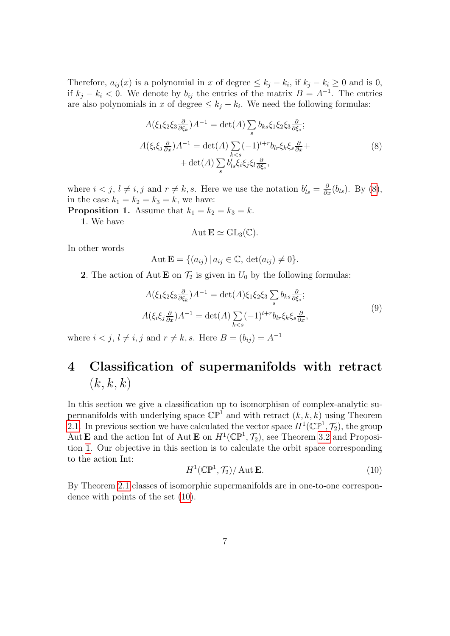Therefore,  $a_{ij}(x)$  is a polynomial in x of degree  $\leq k_j - k_i$ , if  $k_j - k_i \geq 0$  and is 0, if  $k_j - k_i < 0$ . We denote by  $b_{ij}$  the entries of the matrix  $B = A^{-1}$ . The entries are also polynomials in x of degree  $\leq k_j - k_i$ . We need the following formulas:

<span id="page-6-0"></span>
$$
A(\xi_1 \xi_2 \xi_3 \frac{\partial}{\partial \xi_k}) A^{-1} = \det(A) \sum_s b_{ks} \xi_1 \xi_2 \xi_3 \frac{\partial}{\partial \xi_s};
$$
  

$$
A(\xi_i \xi_j \frac{\partial}{\partial x}) A^{-1} = \det(A) \sum_{k < s} (-1)^{l+r} b_{lr} \xi_k \xi_s \frac{\partial}{\partial x} +
$$
  

$$
+ \det(A) \sum_s b'_{ls} \xi_i \xi_j \xi_l \frac{\partial}{\partial \xi_s},
$$
 (8)

where  $i < j$ ,  $l \neq i$ , j and  $r \neq k$ , s. Here we use the notation  $b'_{ls} = \frac{\partial}{\partial x}(b_{ls})$ . By [\(8\)](#page-6-0), in the case  $k_1 = k_2 = k_3 = k$ , we have:

<span id="page-6-1"></span>**Proposition 1.** Assume that  $k_1 = k_2 = k_3 = k$ .

1. We have

$$
\operatorname{Aut} \mathbf{E} \simeq \operatorname{GL}_3(\mathbb{C}).
$$

In other words

$$
Aut \mathbf{E} = \{ (a_{ij}) \mid a_{ij} \in \mathbb{C}, \, \det(a_{ij}) \neq 0 \}.
$$

**2**. The action of Aut **E** on  $\mathcal{T}_2$  is given in  $U_0$  by the following formulas:

$$
A(\xi_1 \xi_2 \xi_3 \frac{\partial}{\partial \xi_k}) A^{-1} = \det(A) \xi_1 \xi_2 \xi_3 \sum_s b_{ks} \frac{\partial}{\partial \xi_s};
$$
  

$$
A(\xi_i \xi_j \frac{\partial}{\partial x}) A^{-1} = \det(A) \sum_{k < s} (-1)^{l+r} b_{lr} \xi_k \xi_s \frac{\partial}{\partial x},
$$

$$
(9)
$$

where  $i < j$ ,  $l \neq i$ , j and  $r \neq k$ , s. Here  $B = (b_{ij}) = A^{-1}$ 

# 4 Classification of supermanifolds with retract  $(k, k, k)$

In this section we give a classification up to isomorphism of complex-analytic supermanifolds with underlying space  $\mathbb{CP}^1$  and with retract  $(k, k, k)$  using Theorem [2.1.](#page-3-0) In previous section we have calculated the vector space  $H^1(\mathbb{CP}^1, \mathcal{T}_2)$ , the group Aut **E** and the action Int of Aut **E** on  $H^1(\mathbb{CP}^1, \mathcal{T}_2)$ , see Theorem [3.2](#page-5-1) and Proposition [1.](#page-6-1) Our objective in this section is to calculate the orbit space corresponding to the action Int:

<span id="page-6-2"></span>
$$
H^1(\mathbb{CP}^1, \mathcal{T}_2) / \operatorname{Aut} \mathbf{E}.
$$
 (10)

By Theorem [2.1](#page-3-0) classes of isomorphic supermanifolds are in one-to-one correspondence with points of the set [\(10\)](#page-6-2).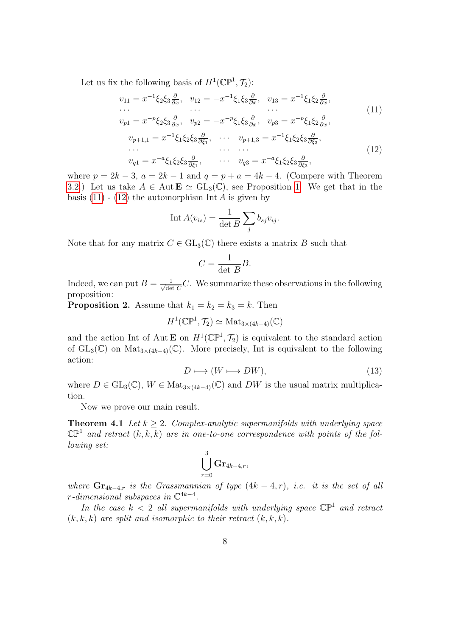Let us fix the following basis of  $H^1(\mathbb{CP}^1, \mathcal{T}_2)$ :

<span id="page-7-1"></span><span id="page-7-0"></span>
$$
v_{11} = x^{-1} \xi_2 \xi_3 \frac{\partial}{\partial x}, \quad v_{12} = -x^{-1} \xi_1 \xi_3 \frac{\partial}{\partial x}, \quad v_{13} = x^{-1} \xi_1 \xi_2 \frac{\partial}{\partial x},
$$
  
\n...  
\n...  
\n
$$
v_{p1} = x^{-p} \xi_2 \xi_3 \frac{\partial}{\partial x}, \quad v_{p2} = -x^{-p} \xi_1 \xi_3 \frac{\partial}{\partial x}, \quad v_{p3} = x^{-p} \xi_1 \xi_2 \frac{\partial}{\partial x},
$$
  
\n
$$
v_{p+1,1} = x^{-1} \xi_1 \xi_2 \xi_3 \frac{\partial}{\partial \xi_1}, \quad \cdots \quad v_{p+1,3} = x^{-1} \xi_1 \xi_2 \xi_3 \frac{\partial}{\partial \xi_3},
$$
  
\n...  
\n
$$
v_{q1} = x^{-a} \xi_1 \xi_2 \xi_3 \frac{\partial}{\partial \xi_1}, \quad \cdots \quad v_{q3} = x^{-a} \xi_1 \xi_2 \xi_3 \frac{\partial}{\partial \xi_3},
$$
  
\n(12)

where  $p = 2k - 3$ ,  $a = 2k - 1$  and  $q = p + a = 4k - 4$ . (Compere with Theorem [3.2.](#page-5-1)) Let us take  $A \in \text{Aut } \mathbf{E} \simeq GL_3(\mathbb{C})$ , see Proposition [1.](#page-6-1) We get that in the basis  $(11)$  -  $(12)$  the automorphism Int A is given by

$$
\text{Int}\,A(v_{is}) = \frac{1}{\det B}\sum_j b_{sj}v_{ij}.
$$

Note that for any matrix  $C \in GL_3(\mathbb{C})$  there exists a matrix B such that

$$
C = \frac{1}{\det B} B.
$$

Indeed, we can put  $B = \frac{1}{\sqrt{d\rho}}$  $\frac{1}{\det C}C$ . We summarize these observations in the following proposition:

**Proposition 2.** Assume that  $k_1 = k_2 = k_3 = k$ . Then

$$
H^1(\mathbb{CP}^1, \mathcal{T}_2) \simeq \text{Mat}_{3 \times (4k-4)}(\mathbb{C})
$$

and the action Int of Aut **E** on  $H^1(\mathbb{CP}^1, \mathcal{T}_2)$  is equivalent to the standard action of  $GL_3(\mathbb{C})$  on  $Mat_{3\times (4k-4)}(\mathbb{C})$ . More precisely, Int is equivalent to the following action:

<span id="page-7-2"></span>
$$
D \longmapsto (W \longmapsto DW), \tag{13}
$$

where  $D \in GL_3(\mathbb{C})$ ,  $W \in Mat_{3 \times (4k-4)}(\mathbb{C})$  and  $DW$  is the usual matrix multiplication.

Now we prove our main result.

**Theorem 4.1** Let  $k \geq 2$ . Complex-analytic supermanifolds with underlying space  $\mathbb{CP}^1$  and retract  $(k, k, k)$  are in one-to-one correspondence with points of the following set:

$$
\bigcup_{r=0}^3 \mathbf{Gr}_{4k-4,r},
$$

where  $\mathbf{Gr}_{4k-4,r}$  is the Grassmannian of type  $(4k-4,r)$ , i.e. it is the set of all  $r$ -dimensional subspaces in  $\mathbb{C}^{4k-4}$ .

In the case  $k < 2$  all supermanifolds with underlying space  $\mathbb{CP}^1$  and retract  $(k, k, k)$  are split and isomorphic to their retract  $(k, k, k)$ .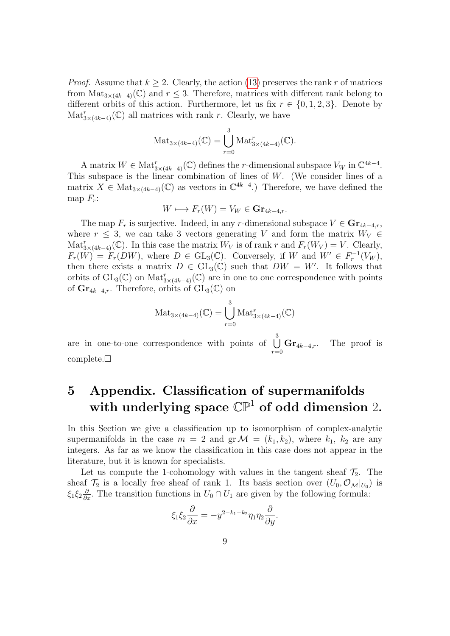*Proof.* Assume that  $k \geq 2$ . Clearly, the action [\(13\)](#page-7-2) preserves the rank r of matrices from  $\text{Mat}_{3\times(4k-4)}(\mathbb{C})$  and  $r \leq 3$ . Therefore, matrices with different rank belong to different orbits of this action. Furthermore, let us fix  $r \in \{0, 1, 2, 3\}$ . Denote by  $\text{Mat}_{3\times(4k-4)}^r(\mathbb{C})$  all matrices with rank r. Clearly, we have

$$
\operatorname{Mat}_{3\times(4k-4)}(\mathbb{C})=\bigcup_{r=0}^3 \operatorname{Mat}_{3\times(4k-4)}^r(\mathbb{C}).
$$

A matrix  $W \in Mat_{3 \times (4k-4)}^r(\mathbb{C})$  defines the *r*-dimensional subspace  $V_W$  in  $\mathbb{C}^{4k-4}$ . This subspace is the linear combination of lines of  $W$ . (We consider lines of a matrix  $X \in Mat_{3\times (4k-4)}(\mathbb{C})$  as vectors in  $\mathbb{C}^{4k-4}$ .) Therefore, we have defined the map  $F_r$ :

$$
W \longmapsto F_r(W) = V_W \in \mathbf{Gr}_{4k-4,r}.
$$

The map  $F_r$  is surjective. Indeed, in any r-dimensional subspace  $V \in \mathbf{Gr}_{4k-4,r}$ , where  $r \leq 3$ , we can take 3 vectors generating V and form the matrix  $W_V \in$  $\text{Mat}_{3\times(4k-4)}^r(\mathbb{C})$ . In this case the matrix  $W_V$  is of rank r and  $F_r(W_V) = V$ . Clearly,  $F_r(W) = F_r(DW)$ , where  $D \in GL_3(\mathbb{C})$ . Conversely, if W and  $W' \in F_r^{-1}(V_W)$ , then there exists a matrix  $D \in GL_3(\mathbb{C})$  such that  $DW = W'$ . It follows that orbits of  $GL_3(\mathbb{C})$  on  $Mat^r_{3\times(4k-4)}(\mathbb{C})$  are in one to one correspondence with points of  $\mathrm{Gr}_{4k-4,r}$ . Therefore, orbits of  $\mathrm{GL}_3(\mathbb{C})$  on

$$
\operatorname{Mat}_{3\times(4k-4)}(\mathbb{C}) = \bigcup_{r=0}^{3} \operatorname{Mat}_{3\times(4k-4)}^{r}(\mathbb{C})
$$

are in one-to-one correspondence with points of  $\bigcup^{3}$  $r = 0$  $\mathbf{Gr}_{4k-4,r}$ . The proof is  $complete.\Box$ 

# 5 Appendix. Classification of supermanifolds with underlying space  $\mathbb{CP}^1$  of odd dimension 2.

In this Section we give a classification up to isomorphism of complex-analytic supermanifolds in the case  $m = 2$  and  $gr \mathcal{M} = (k_1, k_2)$ , where  $k_1, k_2$  are any integers. As far as we know the classification in this case does not appear in the literature, but it is known for specialists.

Let us compute the 1-cohomology with values in the tangent sheaf  $\mathcal{T}_2$ . The sheaf  $\mathcal{T}_2$  is a locally free sheaf of rank 1. Its basis section over  $(U_0, \mathcal{O}_\mathcal{M}|_{U_0})$  is  $\xi_1 \xi_2 \frac{\partial}{\partial x}$ . The transition functions in  $U_0 \cap U_1$  are given by the following formula:

$$
\xi_1 \xi_2 \frac{\partial}{\partial x} = -y^{2-k_1-k_2} \eta_1 \eta_2 \frac{\partial}{\partial y}.
$$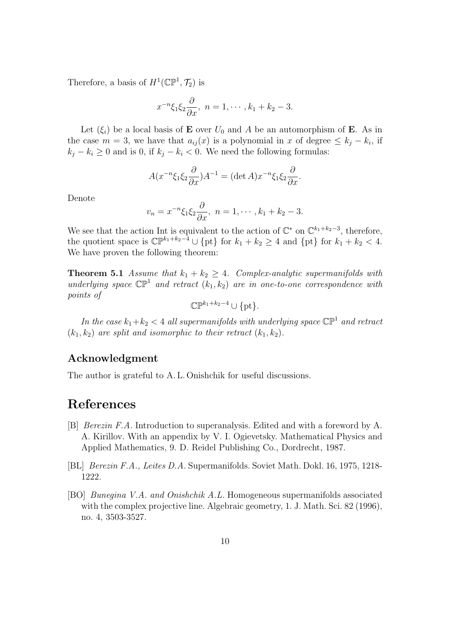Therefore, a basis of  $H^1(\mathbb{CP}^1, \mathcal{T}_2)$  is

$$
x^{-n}\xi_1\xi_2\frac{\partial}{\partial x},\ \ n=1,\cdots,k_1+k_2-3.
$$

Let  $(\xi_i)$  be a local basis of **E** over  $U_0$  and A be an automorphism of **E**. As in the case  $m = 3$ , we have that  $a_{ij}(x)$  is a polynomial in x of degree  $\leq k_j - k_i$ , if  $k_j - k_i \geq 0$  and is 0, if  $k_j - k_i < 0$ . We need the following formulas:

$$
A(x^{-n}\xi_1\xi_2\frac{\partial}{\partial x})A^{-1} = (\det A)x^{-n}\xi_1\xi_2\frac{\partial}{\partial x}.
$$

Denote

$$
v_n = x^{-n} \xi_1 \xi_2 \frac{\partial}{\partial x}, \quad n = 1, \cdots, k_1 + k_2 - 3.
$$

We see that the action Int is equivalent to the action of  $\mathbb{C}^*$  on  $\mathbb{C}^{k_1+k_2-3}$ , therefore, the quotient space is  $\mathbb{CP}^{k_1+k_2-4} \cup \{\text{pt}\}\$  for  $k_1 + k_2 \geq 4$  and  $\{\text{pt}\}\$ for  $k_1 + k_2 < 4$ . We have proven the following theorem:

**Theorem 5.1** Assume that  $k_1 + k_2 \geq 4$ . Complex-analytic supermanifolds with underlying space  $\mathbb{CP}^1$  and retract  $(k_1, k_2)$  are in one-to-one correspondence with points of

$$
\mathbb{CP}^{k_1+k_2-4} \cup \{\text{pt}\}.
$$

In the case  $k_1 + k_2 < 4$  all supermanifolds with underlying space  $\mathbb{CP}^1$  and retract  $(k_1, k_2)$  are split and isomorphic to their retract  $(k_1, k_2)$ .

#### Acknowledgment

The author is grateful to A. L. Onishchik for useful discussions.

#### References

- <span id="page-9-1"></span>[B] Berezin F.A. Introduction to superanalysis. Edited and with a foreword by A. A. Kirillov. With an appendix by V. I. Ogievetsky. Mathematical Physics and Applied Mathematics, 9. D. Reidel Publishing Co., Dordrecht, 1987.
- <span id="page-9-2"></span>[BL] Berezin F.A., Leites D.A. Supermanifolds. Soviet Math. Dokl. 16, 1975, 1218- 1222.
- <span id="page-9-0"></span>[BO] Bunegina V.A. and Onishchik A.L. Homogeneous supermanifolds associated with the complex projective line. Algebraic geometry, 1. J. Math. Sci. 82 (1996), no. 4, 3503-3527.